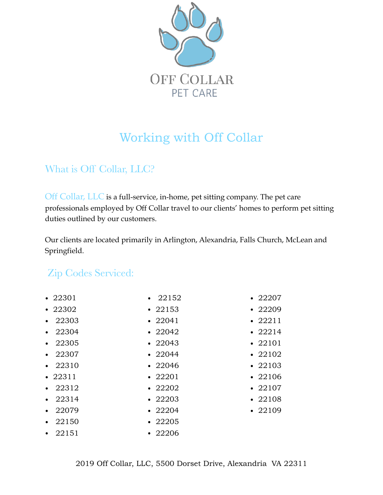

# Working with Off Collar

### What is Off Collar, LLC?

Off Collar, LLC is a full-service, in-home, pet sitting company. The pet care professionals employed by Off Collar travel to our clients' homes to perform pet sitting duties outlined by our customers.

Our clients are located primarily in Arlington, Alexandria, Falls Church, McLean and Springfield.

### Zip Codes Serviced:

| $\cdot$ 22301 | $\cdot$ 22152 | $\cdot$ 22207 |
|---------------|---------------|---------------|
| $\cdot$ 22302 | $\cdot$ 22153 | $\cdot$ 22209 |
| $\cdot$ 22303 | $\cdot$ 22041 | • 22211       |
| $\cdot$ 22304 | $\cdot$ 22042 | $\cdot$ 22214 |
| $\cdot$ 22305 | $\cdot$ 22043 | • 22101       |
| $\cdot$ 22307 | $\cdot$ 22044 | • 22102       |
| $\cdot$ 22310 | $\cdot$ 22046 | $\cdot$ 22103 |
| • 22311       | $\cdot$ 22201 | $\cdot$ 22106 |
| $\cdot$ 22312 | $\cdot$ 22202 | $\cdot$ 22107 |
| $\cdot$ 22314 | $\cdot$ 22203 | $\cdot$ 22108 |
| $\cdot$ 22079 | $\cdot$ 22204 | $\cdot$ 22109 |
| $\cdot$ 22150 | $\cdot$ 22205 |               |

• 22151 • 22206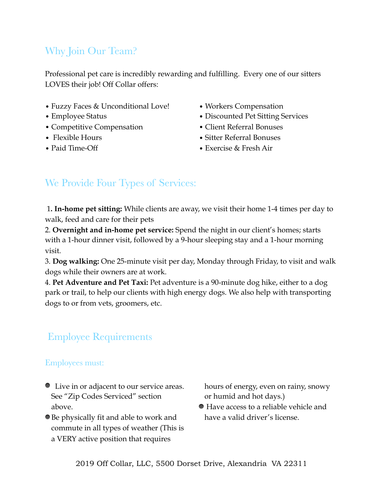# Why Join Our Team?

Professional pet care is incredibly rewarding and fulfilling. Every one of our sitters LOVES their job! Off Collar offers:

- Fuzzy Faces & Unconditional Love!
- Employee Status
- Competitive Compensation
- Flexible Hours
- Paid Time-Off
- Workers Compensation
- Discounted Pet Sitting Services
- Client Referral Bonuses
- Sitter Referral Bonuses
- Exercise & Fresh Air

### We Provide Four Types of Services:

 1**. In-home pet sitting:** While clients are away, we visit their home 1-4 times per day to walk, feed and care for their pets

2. **Overnight and in-home pet service:** Spend the night in our client's homes; starts with a 1-hour dinner visit, followed by a 9-hour sleeping stay and a 1-hour morning visit.

3. **Dog walking:** One 25-minute visit per day, Monday through Friday, to visit and walk dogs while their owners are at work.

4. **Pet Adventure and Pet Taxi:** Pet adventure is a 90-minute dog hike, either to a dog park or trail, to help our clients with high energy dogs. We also help with transporting dogs to or from vets, groomers, etc.

# Employee Requirements

#### Employees must:

- Live in or adjacent to our service areas. See "Zip Codes Serviced" section above.
- Be physically fit and able to work and commute in all types of weather (This is a VERY active position that requires

hours of energy, even on rainy, snowy or humid and hot days.)

 Have access to a reliable vehicle and have a valid driver's license.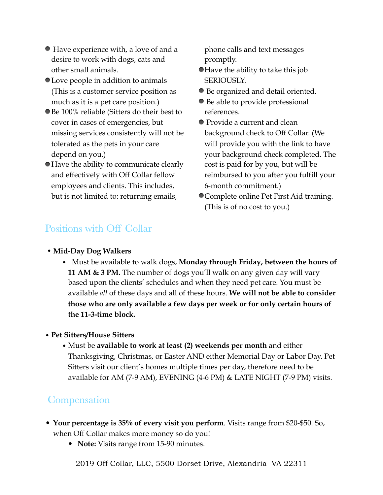- Have experience with, a love of and a desire to work with dogs, cats and other small animals.
- Love people in addition to animals (This is a customer service position as much as it is a pet care position.)
- Be 100% reliable (Sitters do their best to cover in cases of emergencies, but missing services consistently will not be tolerated as the pets in your care depend on you.)
- Have the ability to communicate clearly and effectively with Off Collar fellow employees and clients. This includes, but is not limited to: returning emails,

phone calls and text messages promptly.

- Have the ability to take this job SERIOUSLY.
- Be organized and detail oriented.
- Be able to provide professional references.
- Provide a current and clean background check to Off Collar. (We will provide you with the link to have your background check completed. The cost is paid for by you, but will be reimbursed to you after you fulfill your 6-month commitment.)
- Complete online Pet First Aid training. (This is of no cost to you.)

# Positions with Off Collar

#### • **Mid-Day Dog Walkers**

• Must be available to walk dogs, **Monday through Friday, between the hours of 11 AM & 3 PM.** The number of dogs you'll walk on any given day will vary based upon the clients' schedules and when they need pet care. You must be available *all* of these days and all of these hours. **We will not be able to consider those who are only available a few days per week or for only certain hours of the 11-3-time block.** 

#### • **Pet Sitters/House Sitters**

• Must be **available to work at least (2) weekends per month** and either Thanksgiving, Christmas, or Easter AND either Memorial Day or Labor Day. Pet Sitters visit our client's homes multiple times per day, therefore need to be available for AM (7-9 AM), EVENING (4-6 PM) & LATE NIGHT (7-9 PM) visits.

### **Compensation**

- **Your percentage is 35% of every visit you perform**. Visits range from \$20-\$50. So, when Off Collar makes more money so do you!
	- **Note:** Visits range from 15-90 minutes.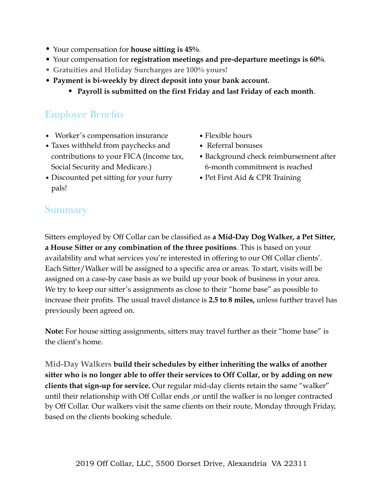- Your compensation for **house sitting is 45%**.
- Your compensation for **registration meetings and pre-departure meetings is 60%**.
- **Gratuities and Holiday Surcharges are 100% yours!**
- **• Payment is bi-weekly by direct deposit into your bank account.** 
	- **Payroll is submitted on the first Friday and last Friday of each month**.

# Employee Benefits

- Worker's compensation insurance
- Taxes withheld from paychecks and contributions to your FICA (Income tax, Social Security and Medicare.)
- Discounted pet sitting for your furry pals!
- Flexible hours
- Referral bonuses
- Background check reimbursement after 6-month commitment is reached
- Pet First Aid & CPR Training

### Summary

Sitters employed by Off Collar can be classified as **a Mid-Day Dog Walker, a Pet Sitter, a House Sitter or any combination of the three positions**. This is based on your availability and what services you're interested in offering to our Off Collar clients'. Each Sitter/Walker will be assigned to a specific area or areas. To start, visits will be assigned on a case-by case basis as we build up your book of business in your area. We try to keep our sitter's assignments as close to their "home base" as possible to increase their profits. The usual travel distance is **2.5 to 8 miles,** unless further travel has previously been agreed on.

**Note:** For house sitting assignments, sitters may travel further as their "home base" is the client's home.

**Mid-Day Walkers build their schedules by either inheriting the walks of another sitter who is no longer able to offer their services to Off Collar, or by adding on new clients that sign-up for service.** Our regular mid-day clients retain the same "walker" until their relationship with Off Collar ends ,or until the walker is no longer contracted by Off Collar. Our walkers visit the same clients on their route, Monday through Friday, based on the clients booking schedule.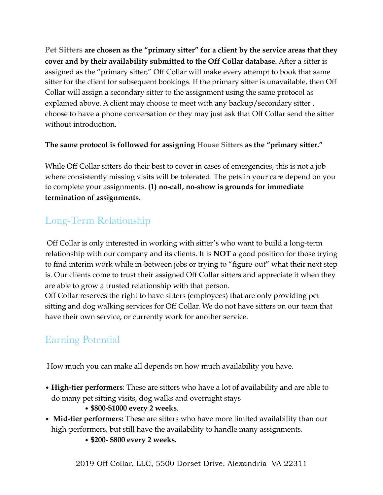**Pet Sitters are chosen as the "primary sitter" for a client by the service areas that they cover and by their availability submitted to the Off Collar database.** After a sitter is assigned as the "primary sitter," Off Collar will make every attempt to book that same sitter for the client for subsequent bookings. If the primary sitter is unavailable, then Off Collar will assign a secondary sitter to the assignment using the same protocol as explained above. A client may choose to meet with any backup/secondary sitter , choose to have a phone conversation or they may just ask that Off Collar send the sitter without introduction.

#### **The same protocol is followed for assigning House Sitters as the "primary sitter."**

While Off Collar sitters do their best to cover in cases of emergencies, this is not a job where consistently missing visits will be tolerated. The pets in your care depend on you to complete your assignments. **(1) no-call, no-show is grounds for immediate termination of assignments.**

# Long-Term Relationship

 Off Collar is only interested in working with sitter's who want to build a long-term relationship with our company and its clients. It is **NOT** a good position for those trying to find interim work while in-between jobs or trying to "figure-out" what their next step is. Our clients come to trust their assigned Off Collar sitters and appreciate it when they are able to grow a trusted relationship with that person.

Off Collar reserves the right to have sitters (employees) that are only providing pet sitting and dog walking services for Off Collar. We do not have sitters on our team that have their own service, or currently work for another service.

# Earning Potential

How much you can make all depends on how much availability you have.

- **High-tier performers**: These are sitters who have a lot of availability and are able to do many pet sitting visits, dog walks and overnight stays
	- **\$800-\$1000 every 2 weeks**.
- **Mid-tier performers:** These are sitters who have more limited availability than our high-performers, but still have the availability to handle many assignments.
	- **\$200- \$800 every 2 weeks.**